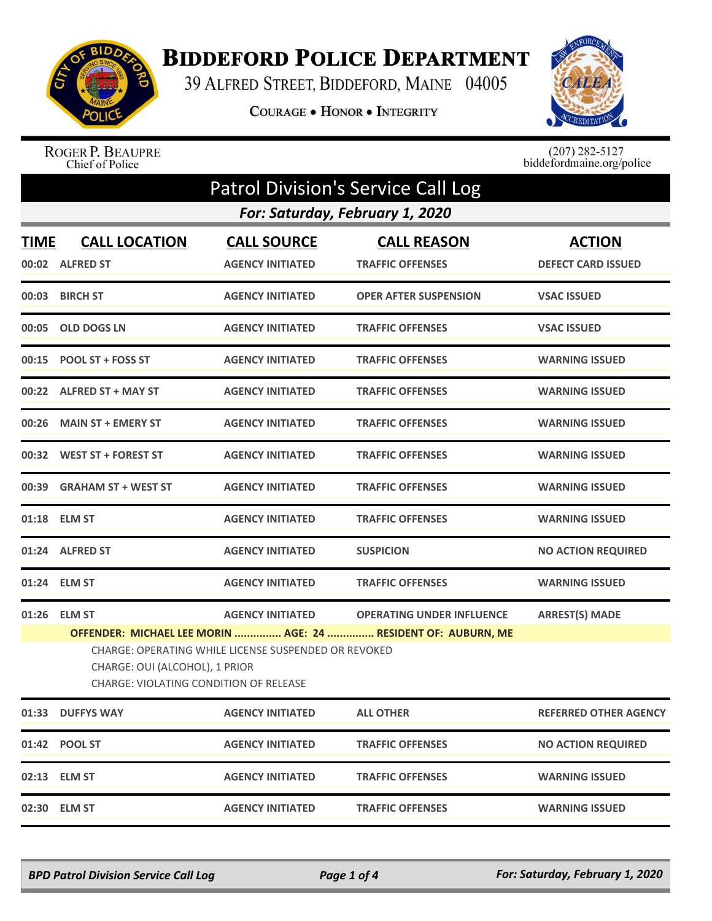

## **BIDDEFORD POLICE DEPARTMENT**

39 ALFRED STREET, BIDDEFORD, MAINE 04005

COURAGE . HONOR . INTEGRITY



## ROGER P. BEAUPRE<br>Chief of Police

 $(207)$  282-5127<br>biddefordmaine.org/police

| <b>Patrol Division's Service Call Log</b> |                                                                                                                                                                                                          |                                               |                                               |                                            |  |  |
|-------------------------------------------|----------------------------------------------------------------------------------------------------------------------------------------------------------------------------------------------------------|-----------------------------------------------|-----------------------------------------------|--------------------------------------------|--|--|
|                                           | For: Saturday, February 1, 2020                                                                                                                                                                          |                                               |                                               |                                            |  |  |
| <b>TIME</b><br>00:02                      | <b>CALL LOCATION</b><br><b>ALFRED ST</b>                                                                                                                                                                 | <b>CALL SOURCE</b><br><b>AGENCY INITIATED</b> | <b>CALL REASON</b><br><b>TRAFFIC OFFENSES</b> | <b>ACTION</b><br><b>DEFECT CARD ISSUED</b> |  |  |
| 00:03                                     | <b>BIRCH ST</b>                                                                                                                                                                                          | <b>AGENCY INITIATED</b>                       | <b>OPER AFTER SUSPENSION</b>                  | <b>VSAC ISSUED</b>                         |  |  |
|                                           | 00:05 OLD DOGS LN                                                                                                                                                                                        | <b>AGENCY INITIATED</b>                       | <b>TRAFFIC OFFENSES</b>                       | <b>VSAC ISSUED</b>                         |  |  |
| 00:15                                     | <b>POOL ST + FOSS ST</b>                                                                                                                                                                                 | <b>AGENCY INITIATED</b>                       | <b>TRAFFIC OFFENSES</b>                       | <b>WARNING ISSUED</b>                      |  |  |
|                                           | 00:22 ALFRED ST + MAY ST                                                                                                                                                                                 | <b>AGENCY INITIATED</b>                       | <b>TRAFFIC OFFENSES</b>                       | <b>WARNING ISSUED</b>                      |  |  |
|                                           | 00:26 MAIN ST + EMERY ST                                                                                                                                                                                 | <b>AGENCY INITIATED</b>                       | <b>TRAFFIC OFFENSES</b>                       | <b>WARNING ISSUED</b>                      |  |  |
|                                           | 00:32 WEST ST + FOREST ST                                                                                                                                                                                | <b>AGENCY INITIATED</b>                       | <b>TRAFFIC OFFENSES</b>                       | <b>WARNING ISSUED</b>                      |  |  |
| 00:39                                     | <b>GRAHAM ST + WEST ST</b>                                                                                                                                                                               | <b>AGENCY INITIATED</b>                       | <b>TRAFFIC OFFENSES</b>                       | <b>WARNING ISSUED</b>                      |  |  |
|                                           | 01:18 ELM ST                                                                                                                                                                                             | <b>AGENCY INITIATED</b>                       | <b>TRAFFIC OFFENSES</b>                       | <b>WARNING ISSUED</b>                      |  |  |
|                                           | 01:24 ALFRED ST                                                                                                                                                                                          | <b>AGENCY INITIATED</b>                       | <b>SUSPICION</b>                              | <b>NO ACTION REQUIRED</b>                  |  |  |
|                                           | 01:24 ELM ST                                                                                                                                                                                             | <b>AGENCY INITIATED</b>                       | <b>TRAFFIC OFFENSES</b>                       | <b>WARNING ISSUED</b>                      |  |  |
| 01:26                                     | <b>ELM ST</b>                                                                                                                                                                                            | <b>AGENCY INITIATED</b>                       | <b>OPERATING UNDER INFLUENCE</b>              | <b>ARREST(S) MADE</b>                      |  |  |
|                                           | OFFENDER: MICHAEL LEE MORIN  AGE: 24  RESIDENT OF: AUBURN, ME<br><b>CHARGE: OPERATING WHILE LICENSE SUSPENDED OR REVOKED</b><br>CHARGE: OUI (ALCOHOL), 1 PRIOR<br>CHARGE: VIOLATING CONDITION OF RELEASE |                                               |                                               |                                            |  |  |
|                                           | 01:33 DUFFYS WAY                                                                                                                                                                                         | <b>AGENCY INITIATED</b>                       | <b>ALL OTHER</b>                              | <b>REFERRED OTHER AGENCY</b>               |  |  |
|                                           | 01:42 POOL ST                                                                                                                                                                                            | <b>AGENCY INITIATED</b>                       | <b>TRAFFIC OFFENSES</b>                       | <b>NO ACTION REQUIRED</b>                  |  |  |
|                                           | 02:13 ELM ST                                                                                                                                                                                             | <b>AGENCY INITIATED</b>                       | <b>TRAFFIC OFFENSES</b>                       | <b>WARNING ISSUED</b>                      |  |  |
|                                           | 02:30 ELM ST                                                                                                                                                                                             | <b>AGENCY INITIATED</b>                       | <b>TRAFFIC OFFENSES</b>                       | <b>WARNING ISSUED</b>                      |  |  |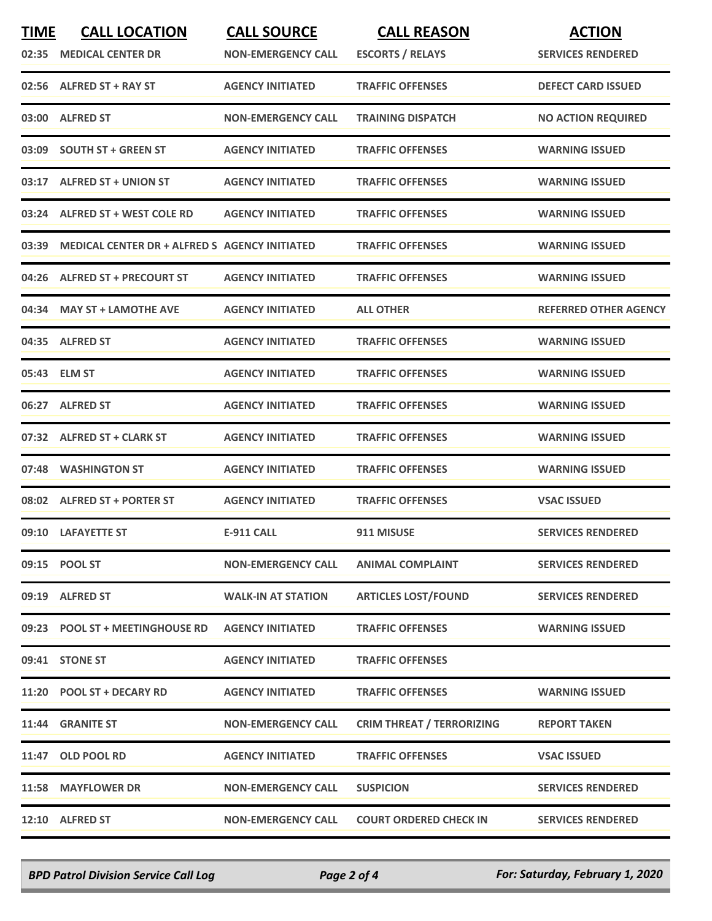| <b>TIME</b> | <b>CALL LOCATION</b>                                 | <b>CALL SOURCE</b>        | <b>CALL REASON</b>               | <b>ACTION</b>                |
|-------------|------------------------------------------------------|---------------------------|----------------------------------|------------------------------|
| 02:35       | <b>MEDICAL CENTER DR</b>                             | <b>NON-EMERGENCY CALL</b> | <b>ESCORTS / RELAYS</b>          | <b>SERVICES RENDERED</b>     |
|             | 02:56 ALFRED ST + RAY ST                             | <b>AGENCY INITIATED</b>   | <b>TRAFFIC OFFENSES</b>          | <b>DEFECT CARD ISSUED</b>    |
| 03:00       | <b>ALFRED ST</b>                                     | <b>NON-EMERGENCY CALL</b> | <b>TRAINING DISPATCH</b>         | <b>NO ACTION REQUIRED</b>    |
|             | 03:09 SOUTH ST + GREEN ST                            | <b>AGENCY INITIATED</b>   | <b>TRAFFIC OFFENSES</b>          | <b>WARNING ISSUED</b>        |
|             | 03:17 ALFRED ST + UNION ST                           | <b>AGENCY INITIATED</b>   | <b>TRAFFIC OFFENSES</b>          | <b>WARNING ISSUED</b>        |
|             | 03:24 ALFRED ST + WEST COLE RD                       | <b>AGENCY INITIATED</b>   | <b>TRAFFIC OFFENSES</b>          | <b>WARNING ISSUED</b>        |
| 03:39       | <b>MEDICAL CENTER DR + ALFRED S AGENCY INITIATED</b> |                           | <b>TRAFFIC OFFENSES</b>          | <b>WARNING ISSUED</b>        |
|             | 04:26 ALFRED ST + PRECOURT ST                        | <b>AGENCY INITIATED</b>   | <b>TRAFFIC OFFENSES</b>          | <b>WARNING ISSUED</b>        |
|             | 04:34 MAY ST + LAMOTHE AVE                           | <b>AGENCY INITIATED</b>   | <b>ALL OTHER</b>                 | <b>REFERRED OTHER AGENCY</b> |
|             | 04:35 ALFRED ST                                      | <b>AGENCY INITIATED</b>   | <b>TRAFFIC OFFENSES</b>          | <b>WARNING ISSUED</b>        |
|             | 05:43 ELM ST                                         | <b>AGENCY INITIATED</b>   | <b>TRAFFIC OFFENSES</b>          | <b>WARNING ISSUED</b>        |
|             | 06:27 ALFRED ST                                      | <b>AGENCY INITIATED</b>   | <b>TRAFFIC OFFENSES</b>          | <b>WARNING ISSUED</b>        |
|             | 07:32 ALFRED ST + CLARK ST                           | <b>AGENCY INITIATED</b>   | <b>TRAFFIC OFFENSES</b>          | <b>WARNING ISSUED</b>        |
|             | 07:48 WASHINGTON ST                                  | <b>AGENCY INITIATED</b>   | <b>TRAFFIC OFFENSES</b>          | <b>WARNING ISSUED</b>        |
|             | 08:02 ALFRED ST + PORTER ST                          | <b>AGENCY INITIATED</b>   | <b>TRAFFIC OFFENSES</b>          | <b>VSAC ISSUED</b>           |
|             | 09:10 LAFAYETTE ST                                   | <b>E-911 CALL</b>         | 911 MISUSE                       | <b>SERVICES RENDERED</b>     |
|             | 09:15 POOL ST                                        | <b>NON-EMERGENCY CALL</b> | <b>ANIMAL COMPLAINT</b>          | <b>SERVICES RENDERED</b>     |
|             | 09:19 ALFRED ST                                      | <b>WALK-IN AT STATION</b> | <b>ARTICLES LOST/FOUND</b>       | <b>SERVICES RENDERED</b>     |
|             | 09:23 POOL ST + MEETINGHOUSE RD                      | <b>AGENCY INITIATED</b>   | <b>TRAFFIC OFFENSES</b>          | <b>WARNING ISSUED</b>        |
|             | 09:41 STONE ST                                       | <b>AGENCY INITIATED</b>   | <b>TRAFFIC OFFENSES</b>          |                              |
|             | 11:20 POOL ST + DECARY RD                            | <b>AGENCY INITIATED</b>   | <b>TRAFFIC OFFENSES</b>          | <b>WARNING ISSUED</b>        |
|             | 11:44 GRANITE ST                                     | <b>NON-EMERGENCY CALL</b> | <b>CRIM THREAT / TERRORIZING</b> | <b>REPORT TAKEN</b>          |
|             | 11:47 OLD POOL RD                                    | <b>AGENCY INITIATED</b>   | <b>TRAFFIC OFFENSES</b>          | <b>VSAC ISSUED</b>           |
|             | 11:58 MAYFLOWER DR                                   | <b>NON-EMERGENCY CALL</b> | <b>SUSPICION</b>                 | <b>SERVICES RENDERED</b>     |
|             | 12:10 ALFRED ST                                      | <b>NON-EMERGENCY CALL</b> | <b>COURT ORDERED CHECK IN</b>    | <b>SERVICES RENDERED</b>     |

*BPD Patrol Division Service Call Log Page 2 of 4 For: Saturday, February 1, 2020*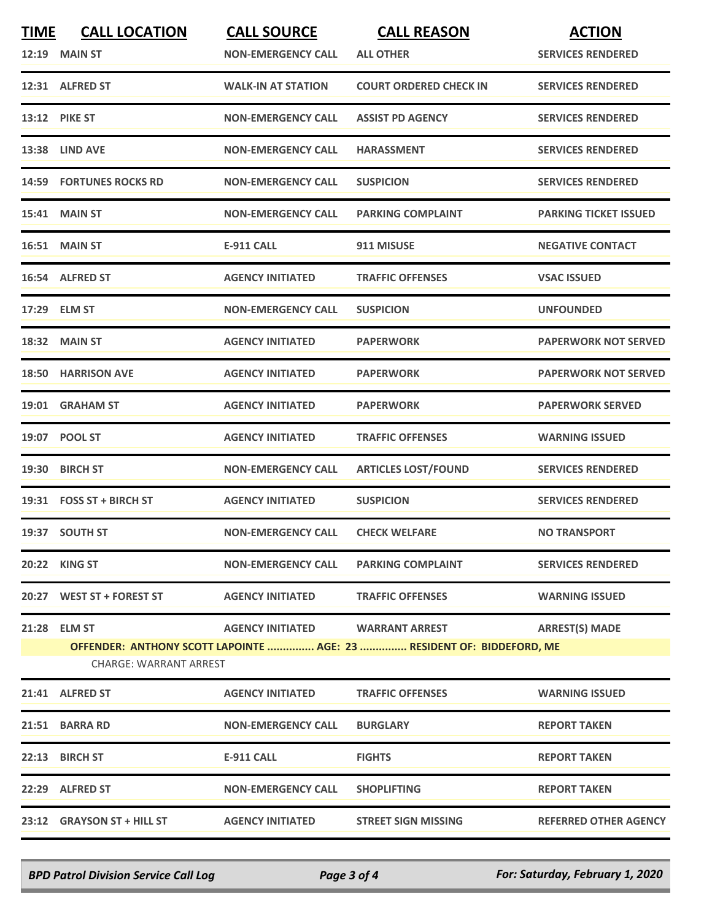| <b>TIME</b> | <b>CALL LOCATION</b>           | <b>CALL SOURCE</b>        | <b>CALL REASON</b>                                                    | <b>ACTION</b>                |
|-------------|--------------------------------|---------------------------|-----------------------------------------------------------------------|------------------------------|
|             | 12:19 MAIN ST                  | <b>NON-EMERGENCY CALL</b> | <b>ALL OTHER</b>                                                      | <b>SERVICES RENDERED</b>     |
|             | 12:31 ALFRED ST                | <b>WALK-IN AT STATION</b> | <b>COURT ORDERED CHECK IN</b>                                         | <b>SERVICES RENDERED</b>     |
|             | <b>13:12 PIKE ST</b>           | <b>NON-EMERGENCY CALL</b> | <b>ASSIST PD AGENCY</b>                                               | <b>SERVICES RENDERED</b>     |
|             | 13:38 LIND AVE                 | <b>NON-EMERGENCY CALL</b> | <b>HARASSMENT</b>                                                     | <b>SERVICES RENDERED</b>     |
|             | <b>14:59 FORTUNES ROCKS RD</b> | <b>NON-EMERGENCY CALL</b> | <b>SUSPICION</b>                                                      | <b>SERVICES RENDERED</b>     |
|             | 15:41 MAIN ST                  | <b>NON-EMERGENCY CALL</b> | <b>PARKING COMPLAINT</b>                                              | <b>PARKING TICKET ISSUED</b> |
|             | 16:51 MAIN ST                  | <b>E-911 CALL</b>         | 911 MISUSE                                                            | <b>NEGATIVE CONTACT</b>      |
|             | 16:54 ALFRED ST                | <b>AGENCY INITIATED</b>   | <b>TRAFFIC OFFENSES</b>                                               | <b>VSAC ISSUED</b>           |
|             | 17:29 ELM ST                   | <b>NON-EMERGENCY CALL</b> | <b>SUSPICION</b>                                                      | <b>UNFOUNDED</b>             |
|             | 18:32 MAIN ST                  | <b>AGENCY INITIATED</b>   | <b>PAPERWORK</b>                                                      | <b>PAPERWORK NOT SERVED</b>  |
| 18:50       | <b>HARRISON AVE</b>            | <b>AGENCY INITIATED</b>   | <b>PAPERWORK</b>                                                      | <b>PAPERWORK NOT SERVED</b>  |
|             | 19:01 GRAHAM ST                | <b>AGENCY INITIATED</b>   | <b>PAPERWORK</b>                                                      | <b>PAPERWORK SERVED</b>      |
|             | 19:07 POOL ST                  | <b>AGENCY INITIATED</b>   | <b>TRAFFIC OFFENSES</b>                                               | <b>WARNING ISSUED</b>        |
| 19:30       | <b>BIRCH ST</b>                | <b>NON-EMERGENCY CALL</b> | <b>ARTICLES LOST/FOUND</b>                                            | <b>SERVICES RENDERED</b>     |
|             | 19:31 FOSS ST + BIRCH ST       | <b>AGENCY INITIATED</b>   | <b>SUSPICION</b>                                                      | <b>SERVICES RENDERED</b>     |
|             | 19:37 SOUTH ST                 | <b>NON-EMERGENCY CALL</b> | <b>CHECK WELFARE</b>                                                  | <b>NO TRANSPORT</b>          |
|             | 20:22 KING ST                  | <b>NON-EMERGENCY CALL</b> | <b>PARKING COMPLAINT</b>                                              | <b>SERVICES RENDERED</b>     |
|             | 20:27 WEST ST + FOREST ST      | <b>AGENCY INITIATED</b>   | <b>TRAFFIC OFFENSES</b>                                               | <b>WARNING ISSUED</b>        |
|             | 21:28 ELM ST                   | <b>AGENCY INITIATED</b>   | <b>WARRANT ARREST</b>                                                 | <b>ARREST(S) MADE</b>        |
|             |                                |                           | OFFENDER: ANTHONY SCOTT LAPOINTE  AGE: 23  RESIDENT OF: BIDDEFORD, ME |                              |
|             | <b>CHARGE: WARRANT ARREST</b>  |                           |                                                                       |                              |
|             | 21:41 ALFRED ST                | <b>AGENCY INITIATED</b>   | <b>TRAFFIC OFFENSES</b>                                               | <b>WARNING ISSUED</b>        |
|             | 21:51 BARRA RD                 | <b>NON-EMERGENCY CALL</b> | <b>BURGLARY</b>                                                       | <b>REPORT TAKEN</b>          |
|             | 22:13 BIRCH ST                 | <b>E-911 CALL</b>         | <b>FIGHTS</b>                                                         | <b>REPORT TAKEN</b>          |
|             | 22:29 ALFRED ST                | <b>NON-EMERGENCY CALL</b> | <b>SHOPLIFTING</b>                                                    | <b>REPORT TAKEN</b>          |
|             | 23:12 GRAYSON ST + HILL ST     | <b>AGENCY INITIATED</b>   | <b>STREET SIGN MISSING</b>                                            | <b>REFERRED OTHER AGENCY</b> |
|             |                                |                           |                                                                       |                              |

*BPD Patrol Division Service Call Log Page 3 of 4 For: Saturday, February 1, 2020*